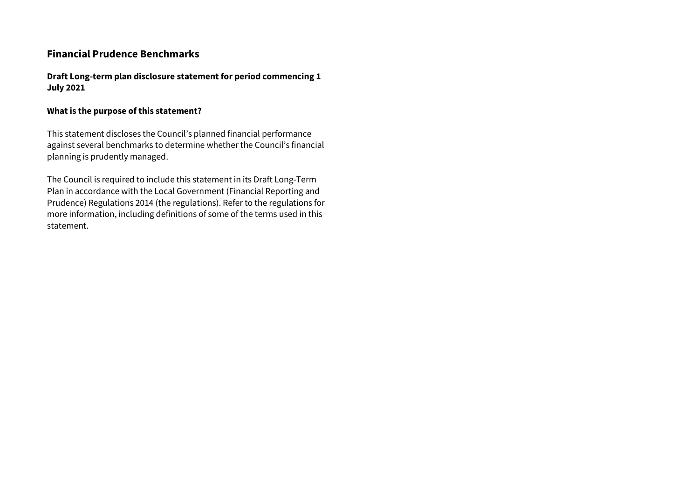# **Financial Prudence Benchmarks**

**Draft Long-term plan disclosure statement for period commencing 1 July 2021**

#### **What is the purpose of this statement?**

This statement discloses the Council's planned financial performance against several benchmarks to determine whether the Council's financial planning is prudently managed.

The Council is required to include this statement in its Draft Long-Term Plan in accordance with the Local Government (Financial Reporting and Prudence) Regulations 2014 (the regulations). Refer to the regulations for more information, including definitions of some of the terms used in this statement.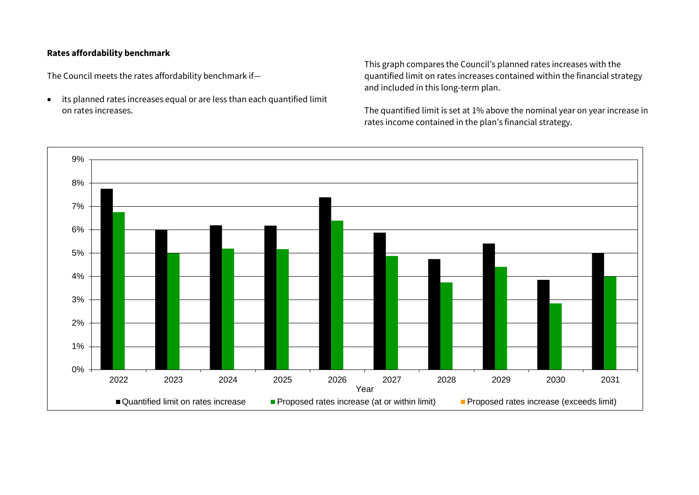### **Rates affordability benchmark**

The Council meets the rates affordability benchmark if—

 its planned rates increases equal or are less than each quantified limit on rates increases.

This graph compares the Council's planned rates increases with the quantified limit on rates increases contained within the financial strategy and included in this long-term plan.

The quantified limit is set at 1% above the nominal year on year increase in rates income contained in the plan's financial strategy.

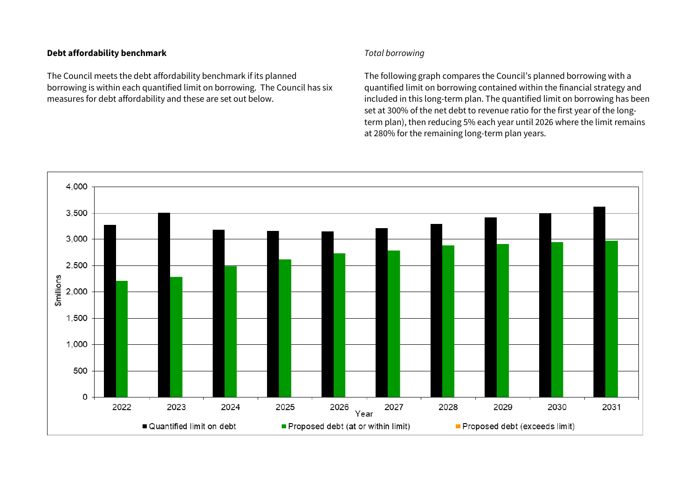#### **Debt affordability benchmark**

The Council meets the debt affordability benchmark if its planned borrowing is within each quantified limit on borrowing. The Council has six measures for debt affordability and these are set out below.

### *Total borrowing*

The following graph compares the Council's planned borrowing with a quantified limit on borrowing contained within the financial strategy and included in this long-term plan. The quantified limit on borrowing has been set at 300% of the net debt to revenue ratio for the first year of the longterm plan), then reducing 5% each year until 2026 where the limit remains at 280% for the remaining long-term plan years.

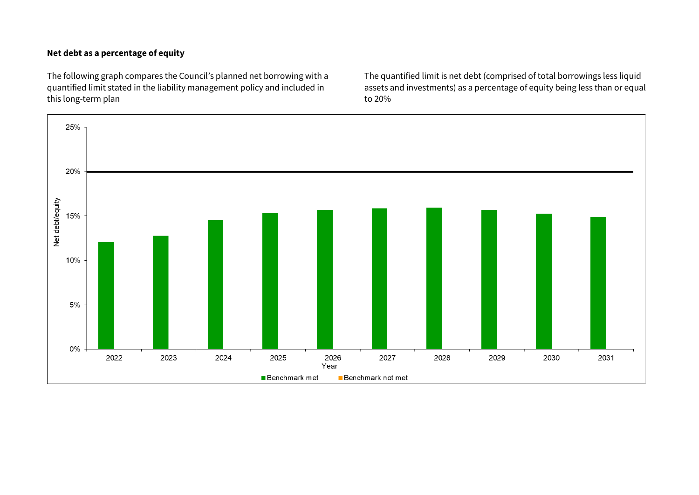## **Net debt as a percentage of equity**

The following graph compares the Council's planned net borrowing with a quantified limit stated in the liability management policy and included in this long-term plan

The quantified limit is net debt (comprised of total borrowings less liquid assets and investments) as a percentage of equity being less than or equal to 20%

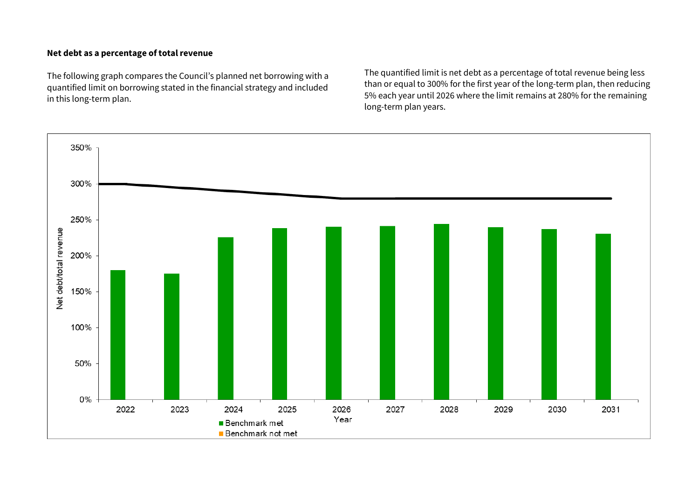### **Net debt as a percentage of total revenue**

The following graph compares the Council's planned net borrowing with a quantified limit on borrowing stated in the financial strategy and included in this long-term plan.

The quantified limit is net debt as a percentage of total revenue being less than or equal to 300% for the first year of the long-term plan, then reducing 5% each year until 2026 where the limit remains at 280% for the remaining long-term plan years.

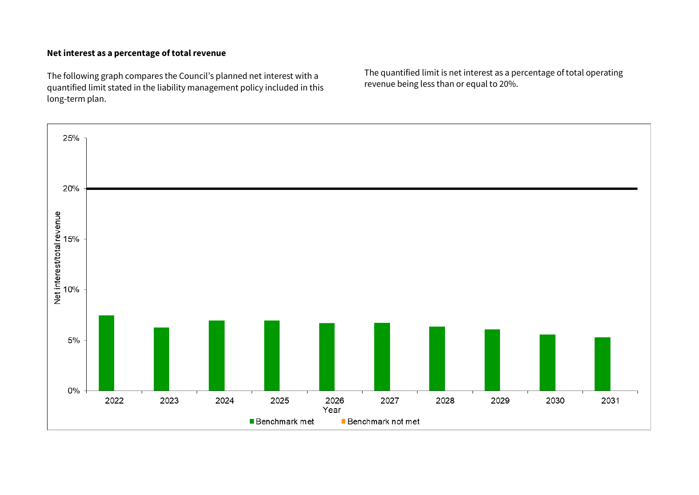### **Net interest as a percentage of total revenue**

The following graph compares the Council's planned net interest with a quantified limit stated in the liability management policy included in this long-term plan.

The quantified limit is net interest as a percentage of total operating revenue being less than or equal to 20%.

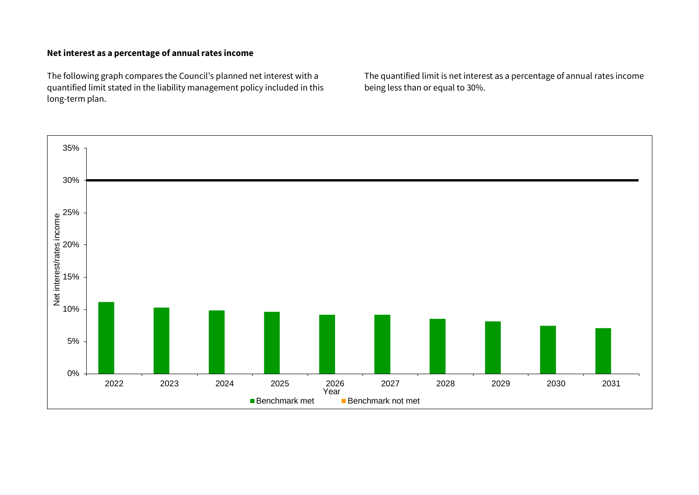### **Net interest as a percentage of annual rates income**

The following graph compares the Council's planned net interest with a quantified limit stated in the liability management policy included in this long-term plan.

The quantified limit is net interest as a percentage of annual rates income being less than or equal to 30%.

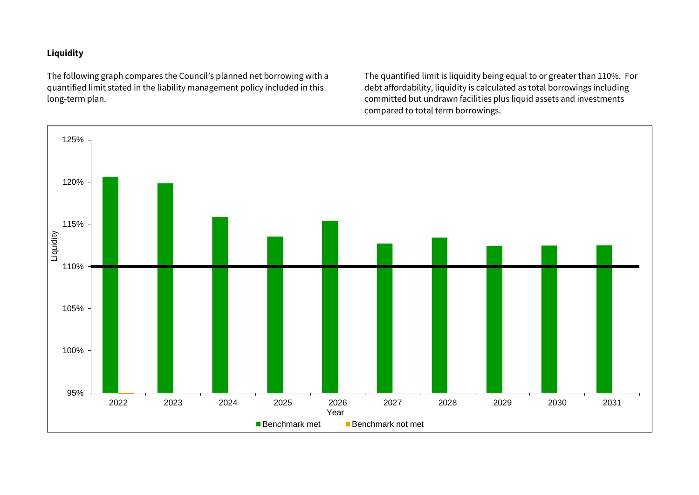## **Liquidity**

The following graph compares the Council's planned net borrowing with a quantified limit stated in the liability management policy included in this long-term plan.

The quantified limit is liquidity being equal to or greater than 110%. For debt affordability, liquidity is calculated as total borrowings including committed but undrawn facilities plus liquid assets and investments compared to total term borrowings.

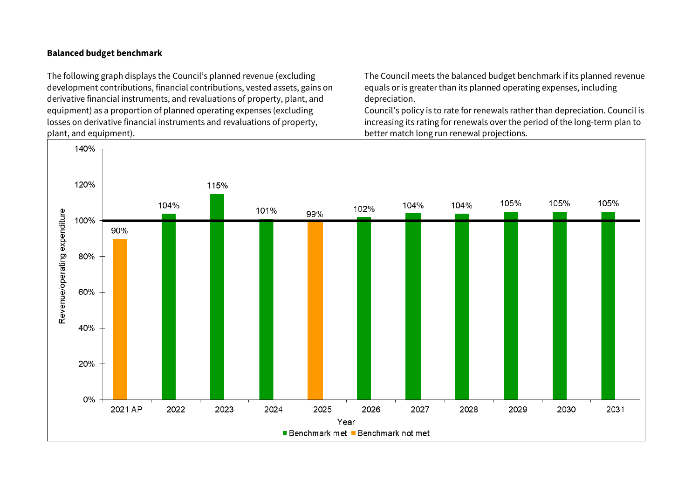#### **Balanced budget benchmark**

The following graph displays the Council's planned revenue (excluding development contributions, financial contributions, vested assets, gains on derivative financial instruments, and revaluations of property, plant, and equipment) as a proportion of planned operating expenses (excluding losses on derivative financial instruments and revaluations of property, plant, and equipment).

The Council meets the balanced budget benchmark if its planned revenue equals or is greater than its planned operating expenses, including depreciation.

Council's policy is to rate for renewals rather than depreciation. Council is increasing its rating for renewals over the period of the long-term plan to better match long run renewal projections.

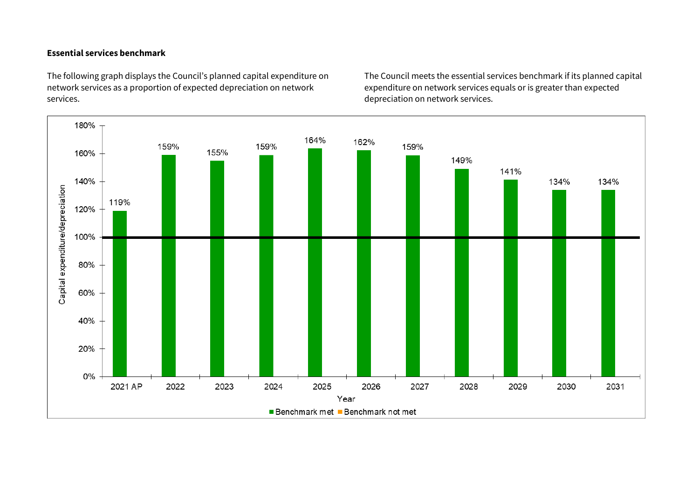### **Essential services benchmark**

The following graph displays the Council's planned capital expenditure on network services as a proportion of expected depreciation on network services.

The Council meets the essential services benchmark if its planned capital expenditure on network services equals or is greater than expected depreciation on network services.